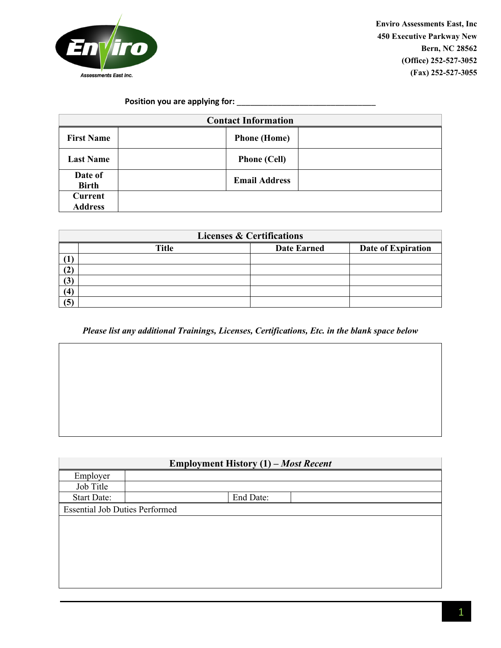

 $\overline{1}$ 

**Enviro Assessments East, Inc 450 Executive Parkway New Bern, NC 28562 (Office) 252-527-3052 (Fax) 252-527-3055**

 $\overline{\mathsf{I}}$ 

## **Position you are applying for:** \_\_\_\_\_\_\_\_\_\_\_\_\_\_\_\_\_\_\_\_\_\_\_\_\_\_\_\_\_\_\_

| <b>Contact Information</b> |                      |  |
|----------------------------|----------------------|--|
| <b>First Name</b>          | <b>Phone</b> (Home)  |  |
| <b>Last Name</b>           | <b>Phone (Cell)</b>  |  |
| Date of<br><b>Birth</b>    | <b>Email Address</b> |  |
| <b>Current</b>             |                      |  |
| <b>Address</b>             |                      |  |

| <b>Licenses &amp; Certifications</b> |              |                    |                    |  |  |
|--------------------------------------|--------------|--------------------|--------------------|--|--|
|                                      | <b>Title</b> | <b>Date Earned</b> | Date of Expiration |  |  |
|                                      |              |                    |                    |  |  |
| (2)                                  |              |                    |                    |  |  |
| (3)                                  |              |                    |                    |  |  |
| (4)                                  |              |                    |                    |  |  |
| (5)                                  |              |                    |                    |  |  |

*Please list any additional Trainings, Licenses, Certifications, Etc. in the blank space below*

| <b>Employment History (1) – Most Recent</b> |           |  |  |  |
|---------------------------------------------|-----------|--|--|--|
| Employer                                    |           |  |  |  |
| Job Title                                   |           |  |  |  |
| <b>Start Date:</b>                          | End Date: |  |  |  |
| <b>Essential Job Duties Performed</b>       |           |  |  |  |
|                                             |           |  |  |  |
|                                             |           |  |  |  |
|                                             |           |  |  |  |
|                                             |           |  |  |  |
|                                             |           |  |  |  |
|                                             |           |  |  |  |